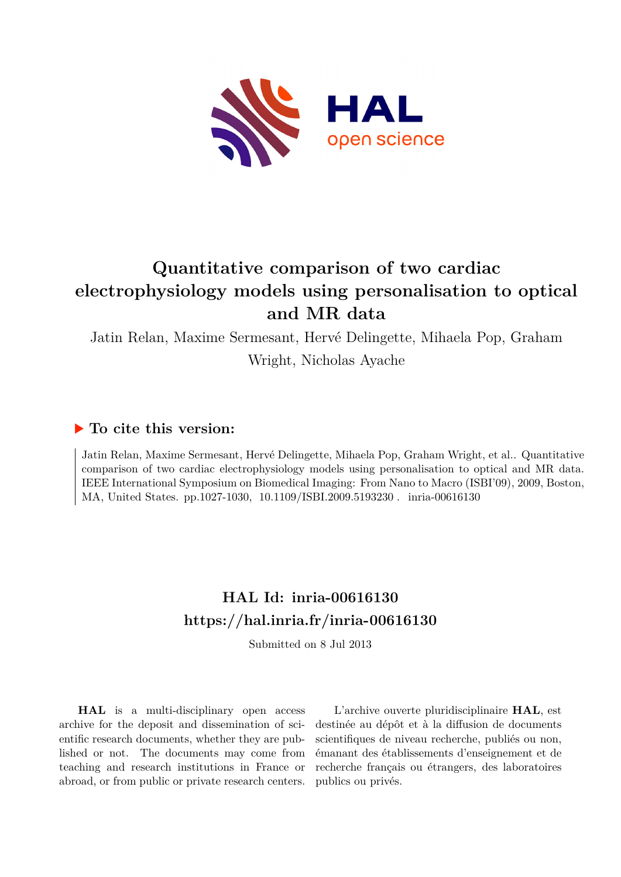

# **Quantitative comparison of two cardiac electrophysiology models using personalisation to optical and MR data**

Jatin Relan, Maxime Sermesant, Hervé Delingette, Mihaela Pop, Graham

Wright, Nicholas Ayache

### **To cite this version:**

Jatin Relan, Maxime Sermesant, Hervé Delingette, Mihaela Pop, Graham Wright, et al.. Quantitative comparison of two cardiac electrophysiology models using personalisation to optical and MR data. IEEE International Symposium on Biomedical Imaging: From Nano to Macro (ISBI'09), 2009, Boston, MA, United States. pp.1027-1030, 10.1109/ISBI.2009.5193230. inria-00616130

## **HAL Id: inria-00616130 <https://hal.inria.fr/inria-00616130>**

Submitted on 8 Jul 2013

**HAL** is a multi-disciplinary open access archive for the deposit and dissemination of scientific research documents, whether they are published or not. The documents may come from teaching and research institutions in France or abroad, or from public or private research centers.

L'archive ouverte pluridisciplinaire **HAL**, est destinée au dépôt et à la diffusion de documents scientifiques de niveau recherche, publiés ou non, émanant des établissements d'enseignement et de recherche français ou étrangers, des laboratoires publics ou privés.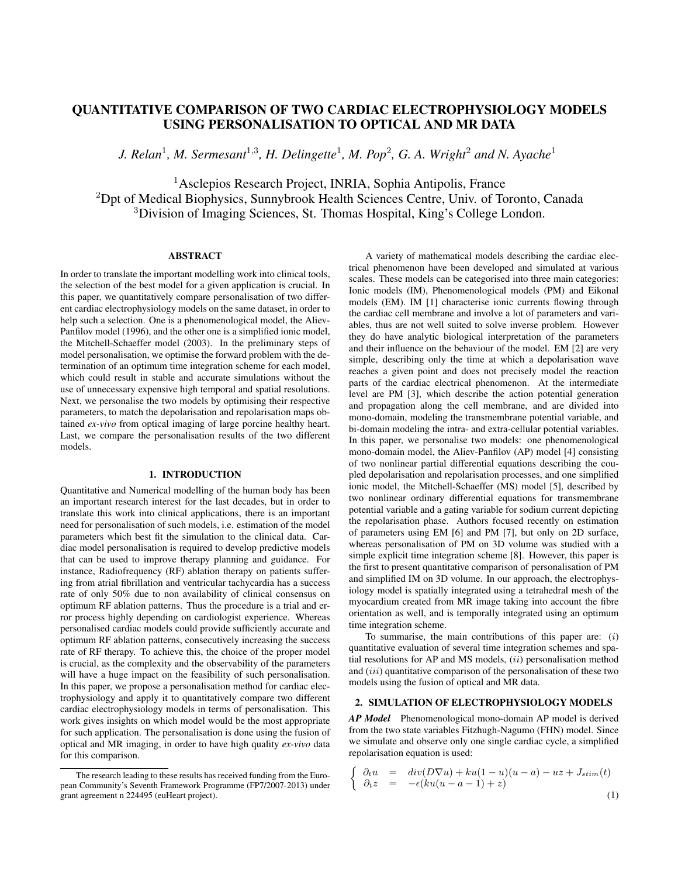### QUANTITATIVE COMPARISON OF TWO CARDIAC ELECTROPHYSIOLOGY MODELS USING PERSONALISATION TO OPTICAL AND MR DATA

*J. Relan<sup>1</sup>, M. Sermesant<sup>1,3</sup>, H. Delingette<sup>1</sup>, M. Pop<sup>2</sup>, G. A. Wright<sup>2</sup> and N. Ayache<sup>1</sup>* 

<sup>1</sup> Asclepios Research Project, INRIA, Sophia Antipolis, France

<sup>2</sup>Dpt of Medical Biophysics, Sunnybrook Health Sciences Centre, Univ. of Toronto, Canada <sup>3</sup>Division of Imaging Sciences, St. Thomas Hospital, King's College London.

#### ABSTRACT

In order to translate the important modelling work into clinical tools, the selection of the best model for a given application is crucial. In this paper, we quantitatively compare personalisation of two different cardiac electrophysiology models on the same dataset, in order to help such a selection. One is a phenomenological model, the Aliev-Panfilov model (1996), and the other one is a simplified ionic model, the Mitchell-Schaeffer model (2003). In the preliminary steps of model personalisation, we optimise the forward problem with the determination of an optimum time integration scheme for each model, which could result in stable and accurate simulations without the use of unnecessary expensive high temporal and spatial resolutions. Next, we personalise the two models by optimising their respective parameters, to match the depolarisation and repolarisation maps obtained *ex-vivo* from optical imaging of large porcine healthy heart. Last, we compare the personalisation results of the two different models.

#### 1. INTRODUCTION

Quantitative and Numerical modelling of the human body has been an important research interest for the last decades, but in order to translate this work into clinical applications, there is an important need for personalisation of such models, i.e. estimation of the model parameters which best fit the simulation to the clinical data. Cardiac model personalisation is required to develop predictive models that can be used to improve therapy planning and guidance. For instance, Radiofrequency (RF) ablation therapy on patients suffering from atrial fibrillation and ventricular tachycardia has a success rate of only 50% due to non availability of clinical consensus on optimum RF ablation patterns. Thus the procedure is a trial and error process highly depending on cardiologist experience. Whereas personalised cardiac models could provide sufficiently accurate and optimum RF ablation patterns, consecutively increasing the success rate of RF therapy. To achieve this, the choice of the proper model is crucial, as the complexity and the observability of the parameters will have a huge impact on the feasibility of such personalisation. In this paper, we propose a personalisation method for cardiac electrophysiology and apply it to quantitatively compare two different cardiac electrophysiology models in terms of personalisation. This work gives insights on which model would be the most appropriate for such application. The personalisation is done using the fusion of optical and MR imaging, in order to have high quality *ex-vivo* data for this comparison.

A variety of mathematical models describing the cardiac electrical phenomenon have been developed and simulated at various scales. These models can be categorised into three main categories: Ionic models (IM), Phenomenological models (PM) and Eikonal models (EM). IM [1] characterise ionic currents flowing through the cardiac cell membrane and involve a lot of parameters and variables, thus are not well suited to solve inverse problem. However they do have analytic biological interpretation of the parameters and their influence on the behaviour of the model. EM [2] are very simple, describing only the time at which a depolarisation wave reaches a given point and does not precisely model the reaction parts of the cardiac electrical phenomenon. At the intermediate level are PM [3], which describe the action potential generation and propagation along the cell membrane, and are divided into mono-domain, modeling the transmembrane potential variable, and bi-domain modeling the intra- and extra-cellular potential variables. In this paper, we personalise two models: one phenomenological mono-domain model, the Aliev-Panfilov (AP) model [4] consisting of two nonlinear partial differential equations describing the coupled depolarisation and repolarisation processes, and one simplified ionic model, the Mitchell-Schaeffer (MS) model [5], described by two nonlinear ordinary differential equations for transmembrane potential variable and a gating variable for sodium current depicting the repolarisation phase. Authors focused recently on estimation of parameters using EM [6] and PM [7], but only on 2D surface, whereas personalisation of PM on 3D volume was studied with a simple explicit time integration scheme [8]. However, this paper is the first to present quantitative comparison of personalisation of PM and simplified IM on 3D volume. In our approach, the electrophysiology model is spatially integrated using a tetrahedral mesh of the myocardium created from MR image taking into account the fibre orientation as well, and is temporally integrated using an optimum time integration scheme.

To summarise, the main contributions of this paper are:  $(i)$ quantitative evaluation of several time integration schemes and spatial resolutions for AP and MS models,  $(ii)$  personalisation method and  $(iii)$  quantitative comparison of the personalisation of these two models using the fusion of optical and MR data.

#### 2. SIMULATION OF ELECTROPHYSIOLOGY MODELS

*AP Model* Phenomenological mono-domain AP model is derived from the two state variables Fitzhugh-Nagumo (FHN) model. Since we simulate and observe only one single cardiac cycle, a simplified repolarisation equation is used:

$$
\begin{cases}\n\partial_t u = div(D\nabla u) + ku(1-u)(u-a) - uz + J_{stim}(t) \\
\partial_t z = -\epsilon(ku(u-a-1) + z)\n\end{cases}
$$
\n(1)

The research leading to these results has received funding from the European Community's Seventh Framework Programme (FP7/2007-2013) under grant agreement n 224495 (euHeart project).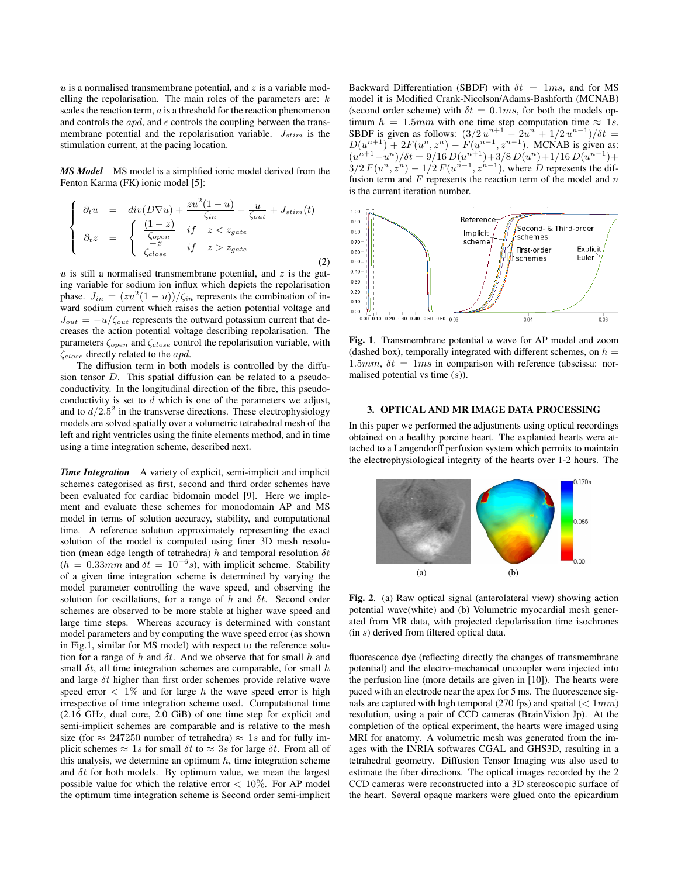$u$  is a normalised transmembrane potential, and  $z$  is a variable modelling the repolarisation. The main roles of the parameters are: k scales the reaction term,  $a$  is a threshold for the reaction phenomenon and controls the  $apd$ , and  $\epsilon$  controls the coupling between the transmembrane potential and the repolarisation variable.  $J_{stim}$  is the stimulation current, at the pacing location.

*MS Model* MS model is a simplified ionic model derived from the Fenton Karma (FK) ionic model [5]:

$$
\begin{cases}\n\partial_t u = div(D\nabla u) + \frac{zu^2(1-u)}{\zeta_{in}} - \frac{u}{\zeta_{out}} + J_{stim}(t) \\
\partial_t z = \begin{cases}\n\frac{(1-z)}{\zeta_{open}} & \text{if } z < z_{gate} \\
\frac{-z}{\zeta_{close}} & \text{if } z > z_{gate}\n\end{cases}\n\end{cases}
$$
\n(2)

 $u$  is still a normalised transmembrane potential, and  $z$  is the gating variable for sodium ion influx which depicts the repolarisation phase.  $J_{in} = \frac{zu^2(1-u)}{\zeta_{in}}$  represents the combination of inward sodium current which raises the action potential voltage and  $J_{out} = -u/\zeta_{out}$  represents the outward potassium current that decreases the action potential voltage describing repolarisation. The parameters  $\zeta_{open}$  and  $\zeta_{close}$  control the repolarisation variable, with  $\zeta_{close}$  directly related to the  $apd$ .

The diffusion term in both models is controlled by the diffusion tensor D. This spatial diffusion can be related to a pseudoconductivity. In the longitudinal direction of the fibre, this pseudoconductivity is set to  $d$  which is one of the parameters we adjust, and to  $d/2.5^2$  in the transverse directions. These electrophysiology models are solved spatially over a volumetric tetrahedral mesh of the left and right ventricles using the finite elements method, and in time using a time integration scheme, described next.

**Time Integration** A variety of explicit, semi-implicit and implicit schemes categorised as first, second and third order schemes have been evaluated for cardiac bidomain model [9]. Here we implement and evaluate these schemes for monodomain AP and MS model in terms of solution accuracy, stability, and computational time. A reference solution approximately representing the exact solution of the model is computed using finer 3D mesh resolution (mean edge length of tetrahedra) h and temporal resolution  $\delta t$  $(h = 0.33mm$  and  $\delta t = 10^{-6} s$ , with implicit scheme. Stability of a given time integration scheme is determined by varying the model parameter controlling the wave speed, and observing the solution for oscillations, for a range of h and  $\delta t$ . Second order schemes are observed to be more stable at higher wave speed and large time steps. Whereas accuracy is determined with constant model parameters and by computing the wave speed error (as shown in Fig.1, similar for MS model) with respect to the reference solution for a range of h and  $\delta t$ . And we observe that for small h and small  $\delta t$ , all time integration schemes are comparable, for small h and large  $\delta t$  higher than first order schemes provide relative wave speed error  $\langle 1\% \rangle$  and for large h the wave speed error is high irrespective of time integration scheme used. Computational time (2.16 GHz, dual core, 2.0 GiB) of one time step for explicit and semi-implicit schemes are comparable and is relative to the mesh size (for  $\approx 247250$  number of tetrahedra)  $\approx 1s$  and for fully implicit schemes  $\approx 1s$  for small  $\delta t$  to  $\approx 3s$  for large  $\delta t$ . From all of this analysis, we determine an optimum  $h$ , time integration scheme and  $\delta t$  for both models. By optimum value, we mean the largest possible value for which the relative error  $< 10\%$ . For AP model the optimum time integration scheme is Second order semi-implicit

Backward Differentiation (SBDF) with  $\delta t = 1$ ms, and for MS model it is Modified Crank-Nicolson/Adams-Bashforth (MCNAB) (second order scheme) with  $\delta t = 0.1$ ms, for both the models optimum  $h = 1.5mm$  with one time step computation time  $\approx 1s$ . SBDF is given as follows:  $\left(\frac{3}{2}u^{n+1} - 2u^{n} + \frac{1}{2}u^{n-1}\right)/\delta t =$  $D(u^{n+1}) + 2F(u^{n}, z^{n}) - F(u^{n-1}, z^{n-1})$ . MCNAB is given as:  $(u^{n+1}-u^{n})/\delta t = 9/16 D(u^{n+1})+3/8 D(u^{n})+1/16 D(u^{n-1})+$  $3/2 F(u^{n}, z^{n}) - 1/2 F(u^{n-1}, z^{n-1})$ , where D represents the diffusion term and  $F$  represents the reaction term of the model and  $n$ is the current iteration number.



Fig. 1. Transmembrane potential  $u$  wave for AP model and zoom (dashed box), temporally integrated with different schemes, on  $h =$ 1.5mm,  $\delta t = 1$ ms in comparison with reference (abscissa: normalised potential vs time  $(s)$ ).

#### 3. OPTICAL AND MR IMAGE DATA PROCESSING

In this paper we performed the adjustments using optical recordings obtained on a healthy porcine heart. The explanted hearts were attached to a Langendorff perfusion system which permits to maintain the electrophysiological integrity of the hearts over 1-2 hours. The



Fig. 2. (a) Raw optical signal (anterolateral view) showing action potential wave(white) and (b) Volumetric myocardial mesh generated from MR data, with projected depolarisation time isochrones (in s) derived from filtered optical data.

fluorescence dye (reflecting directly the changes of transmembrane potential) and the electro-mechanical uncoupler were injected into the perfusion line (more details are given in [10]). The hearts were paced with an electrode near the apex for 5 ms. The fluorescence signals are captured with high temporal (270 fps) and spatial ( $\langle 1mm \rangle$ ) resolution, using a pair of CCD cameras (BrainVision Jp). At the completion of the optical experiment, the hearts were imaged using MRI for anatomy. A volumetric mesh was generated from the images with the INRIA softwares CGAL and GHS3D, resulting in a tetrahedral geometry. Diffusion Tensor Imaging was also used to estimate the fiber directions. The optical images recorded by the 2 CCD cameras were reconstructed into a 3D stereoscopic surface of the heart. Several opaque markers were glued onto the epicardium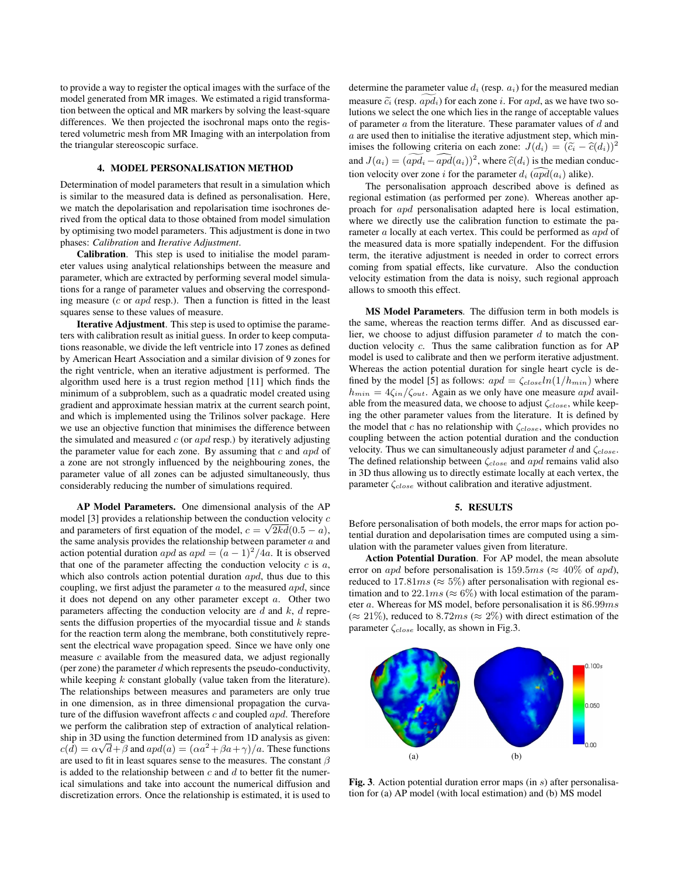to provide a way to register the optical images with the surface of the model generated from MR images. We estimated a rigid transformation between the optical and MR markers by solving the least-square differences. We then projected the isochronal maps onto the registered volumetric mesh from MR Imaging with an interpolation from the triangular stereoscopic surface.

#### 4. MODEL PERSONALISATION METHOD

Determination of model parameters that result in a simulation which is similar to the measured data is defined as personalisation. Here, we match the depolarisation and repolarisation time isochrones derived from the optical data to those obtained from model simulation by optimising two model parameters. This adjustment is done in two phases: *Calibration* and *Iterative Adjustment*.

Calibration. This step is used to initialise the model parameter values using analytical relationships between the measure and parameter, which are extracted by performing several model simulations for a range of parameter values and observing the corresponding measure (c or  $apd$  resp.). Then a function is fitted in the least squares sense to these values of measure.

Iterative Adjustment. This step is used to optimise the parameters with calibration result as initial guess. In order to keep computations reasonable, we divide the left ventricle into 17 zones as defined by American Heart Association and a similar division of 9 zones for the right ventricle, when an iterative adjustment is performed. The algorithm used here is a trust region method [11] which finds the minimum of a subproblem, such as a quadratic model created using gradient and approximate hessian matrix at the current search point, and which is implemented using the Trilinos solver package. Here we use an objective function that minimises the difference between the simulated and measured  $c$  (or  $apd$  resp.) by iteratively adjusting the parameter value for each zone. By assuming that  $c$  and  $apd$  of a zone are not strongly influenced by the neighbouring zones, the parameter value of all zones can be adjusted simultaneously, thus considerably reducing the number of simulations required.

AP Model Parameters. One dimensional analysis of the AP model [3] provides a relationship between the conduction velocity c and parameters of first equation of the model,  $c = \sqrt{2kd}(0.5 - a)$ , the same analysis provides the relationship between parameter  $a$  and action potential duration  $apd$  as  $apd = (a-1)^2/4a$ . It is observed that one of the parameter affecting the conduction velocity  $c$  is  $a$ , which also controls action potential duration *apd*, thus due to this coupling, we first adjust the parameter  $a$  to the measured  $apd$ , since it does not depend on any other parameter except a. Other two parameters affecting the conduction velocity are  $d$  and  $k$ ,  $d$  represents the diffusion properties of the myocardial tissue and  $k$  stands for the reaction term along the membrane, both constitutively represent the electrical wave propagation speed. Since we have only one measure  $c$  available from the measured data, we adjust regionally (per zone) the parameter  $d$  which represents the pseudo-conductivity, while keeping  $k$  constant globally (value taken from the literature). The relationships between measures and parameters are only true in one dimension, as in three dimensional propagation the curvature of the diffusion wavefront affects  $c$  and coupled  $apd$ . Therefore we perform the calibration step of extraction of analytical relationship in 3D using the function determined from 1D analysis as given:  $c(d) = \alpha \sqrt{d} + \beta$  and  $apd(a) = (\alpha a^2 + \beta a + \gamma)/a$ . These functions are used to fit in least squares sense to the measures. The constant  $\beta$ is added to the relationship between  $c$  and  $d$  to better fit the numerical simulations and take into account the numerical diffusion and discretization errors. Once the relationship is estimated, it is used to

determine the parameter value  $d_i$  (resp.  $a_i$ ) for the measured median measure  $\tilde{c}_i$  (resp.  $a p d_i$ ) for each zone i. For  $a p d$ , as we have two solutions we select the one which lies in the range of acceptable values of parameter  $a$  from the literature. These paramater values of  $d$  and  $a$  are used then to initialise the iterative adjustment step, which minimises the following criteria on each zone:  $J(d_i) = (\tilde{c}_i - \tilde{c}(d_i))^2$ and  $J(a_i) = (a\overrightarrow{pd_i} - a\overrightarrow{pd}(a_i))^2$ , where  $\widehat{c}(d_i)$  is the median conduction velocity over zone *i* for the parameter  $d_i$  ( $apd(a_i)$  alike).

The personalisation approach described above is defined as regional estimation (as performed per zone). Whereas another approach for apd personalisation adapted here is local estimation, where we directly use the calibration function to estimate the parameter a locally at each vertex. This could be performed as apd of the measured data is more spatially independent. For the diffusion term, the iterative adjustment is needed in order to correct errors coming from spatial effects, like curvature. Also the conduction velocity estimation from the data is noisy, such regional approach allows to smooth this effect.

MS Model Parameters. The diffusion term in both models is the same, whereas the reaction terms differ. And as discussed earlier, we choose to adjust diffusion parameter  $d$  to match the conduction velocity c. Thus the same calibration function as for AP model is used to calibrate and then we perform iterative adjustment. Whereas the action potential duration for single heart cycle is defined by the model [5] as follows:  $apd = \zeta_{close} ln(1/h_{min})$  where  $h_{min} = 4\zeta_{in}/\zeta_{out}$ . Again as we only have one measure apd available from the measured data, we choose to adjust  $\zeta_{close}$ , while keeping the other parameter values from the literature. It is defined by the model that c has no relationship with  $\zeta_{close}$ , which provides no coupling between the action potential duration and the conduction velocity. Thus we can simultaneously adjust parameter d and  $\zeta_{close}$ . The defined relationship between  $\zeta_{close}$  and  $apd$  remains valid also in 3D thus allowing us to directly estimate locally at each vertex, the parameter  $\zeta_{close}$  without calibration and iterative adjustment.

#### 5. RESULTS

Before personalisation of both models, the error maps for action potential duration and depolarisation times are computed using a simulation with the parameter values given from literature.

Action Potential Duration. For AP model, the mean absolute error on apd before personalisation is 159.5ms ( $\approx 40\%$  of apd), reduced to 17.81ms ( $\approx$  5%) after personalisation with regional estimation and to  $22.1ms \approx 6\%)$  with local estimation of the parameter a. Whereas for MS model, before personalisation it is 86.99ms  $(\approx 21\%)$ , reduced to 8.72ms ( $\approx 2\%$ ) with direct estimation of the parameter  $\zeta_{close}$  locally, as shown in Fig.3.



**Fig. 3.** Action potential duration error maps (in  $s$ ) after personalisation for (a) AP model (with local estimation) and (b) MS model